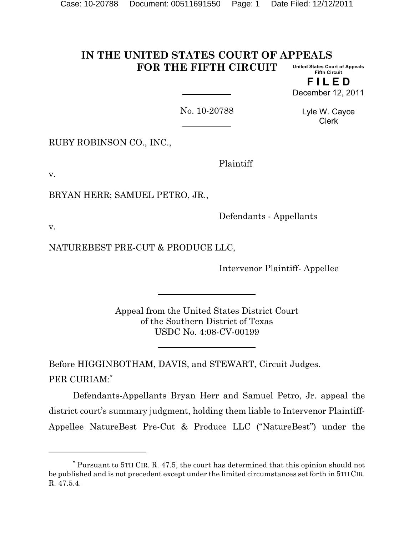#### **IN THE UNITED STATES COURT OF APPEALS FOR THE FIFTH CIRCUIT United States Court of Appeals Fifth Circuit**

**F I L E D** December 12, 2011

No. 10-20788

Lyle W. Cayce Clerk

RUBY ROBINSON CO., INC.,

Plaintiff

v.

BRYAN HERR; SAMUEL PETRO, JR.,

Defendants - Appellants

v.

NATUREBEST PRE-CUT & PRODUCE LLC,

Intervenor Plaintiff- Appellee

Appeal from the United States District Court of the Southern District of Texas USDC No. 4:08-CV-00199

Before HIGGINBOTHAM, DAVIS, and STEWART, Circuit Judges. PER CURIAM:\*

Defendants-Appellants Bryan Herr and Samuel Petro, Jr. appeal the district court's summary judgment, holding them liable to Intervenor Plaintiff-Appellee NatureBest Pre-Cut & Produce LLC ("NatureBest") under the

Pursuant to 5TH CIR. R. 47.5, the court has determined that this opinion should not \* be published and is not precedent except under the limited circumstances set forth in 5TH CIR. R. 47.5.4.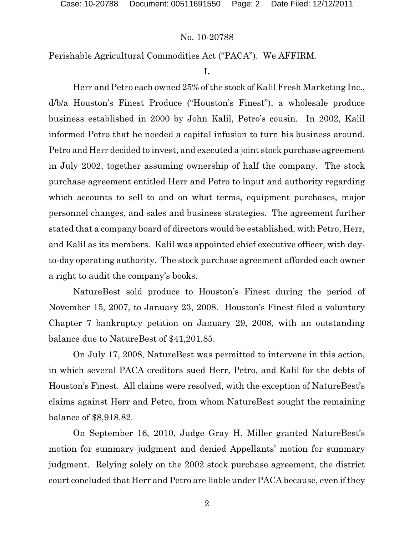Perishable Agricultural Commodities Act ("PACA"). We AFFIRM.

# **I.**

Herr and Petro each owned 25% of the stock of Kalil Fresh Marketing Inc., d/b/a Houston's Finest Produce ("Houston's Finest"), a wholesale produce business established in 2000 by John Kalil, Petro's cousin. In 2002, Kalil informed Petro that he needed a capital infusion to turn his business around. Petro and Herr decided to invest, and executed a joint stock purchase agreement in July 2002, together assuming ownership of half the company. The stock purchase agreement entitled Herr and Petro to input and authority regarding which accounts to sell to and on what terms, equipment purchases, major personnel changes, and sales and business strategies. The agreement further stated that a company board of directors would be established, with Petro, Herr, and Kalil as its members. Kalil was appointed chief executive officer, with dayto-day operating authority. The stock purchase agreement afforded each owner a right to audit the company's books.

NatureBest sold produce to Houston's Finest during the period of November 15, 2007, to January 23, 2008. Houston's Finest filed a voluntary Chapter 7 bankruptcy petition on January 29, 2008, with an outstanding balance due to NatureBest of \$41,201.85.

On July 17, 2008, NatureBest was permitted to intervene in this action, in which several PACA creditors sued Herr, Petro, and Kalil for the debts of Houston's Finest. All claims were resolved, with the exception of NatureBest's claims against Herr and Petro, from whom NatureBest sought the remaining balance of \$8,918.82.

On September 16, 2010, Judge Gray H. Miller granted NatureBest's motion for summary judgment and denied Appellants' motion for summary judgment. Relying solely on the 2002 stock purchase agreement, the district court concluded that Herr and Petro are liable under PACA because, even if they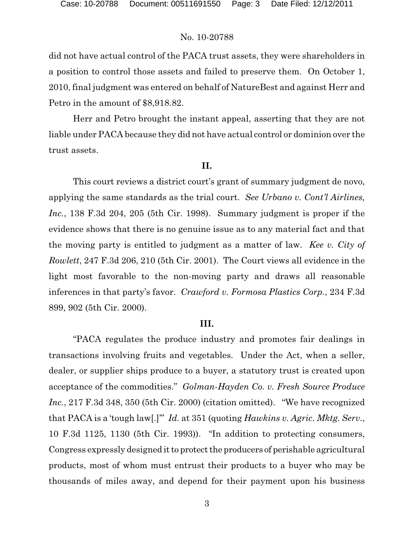did not have actual control of the PACA trust assets, they were shareholders in a position to control those assets and failed to preserve them. On October 1, 2010, final judgment was entered on behalf of NatureBest and against Herr and Petro in the amount of \$8,918.82.

Herr and Petro brought the instant appeal, asserting that they are not liable under PACA because they did not have actual control or dominion over the trust assets.

## **II.**

This court reviews a district court's grant of summary judgment de novo, applying the same standards as the trial court. *See Urbano v. Cont'l Airlines, Inc.*, 138 F.3d 204, 205 (5th Cir. 1998). Summary judgment is proper if the evidence shows that there is no genuine issue as to any material fact and that the moving party is entitled to judgment as a matter of law. *Kee v. City of Rowlett*, 247 F.3d 206, 210 (5th Cir. 2001). The Court views all evidence in the light most favorable to the non-moving party and draws all reasonable inferences in that party's favor. *Crawford v. Formosa Plastics Corp.*, 234 F.3d 899, 902 (5th Cir. 2000).

## **III.**

"PACA regulates the produce industry and promotes fair dealings in transactions involving fruits and vegetables. Under the Act, when a seller, dealer, or supplier ships produce to a buyer, a statutory trust is created upon acceptance of the commodities." *Golman-Hayden Co. v. Fresh Source Produce Inc.*, 217 F.3d 348, 350 (5th Cir. 2000) (citation omitted). "We have recognized that PACA is a 'tough law[.]'" *Id.* at 351 (quoting *Hawkins v. Agric. Mktg. Serv.*, 10 F.3d 1125, 1130 (5th Cir. 1993)). "In addition to protecting consumers, Congress expressly designed it to protect the producers of perishable agricultural products, most of whom must entrust their products to a buyer who may be thousands of miles away, and depend for their payment upon his business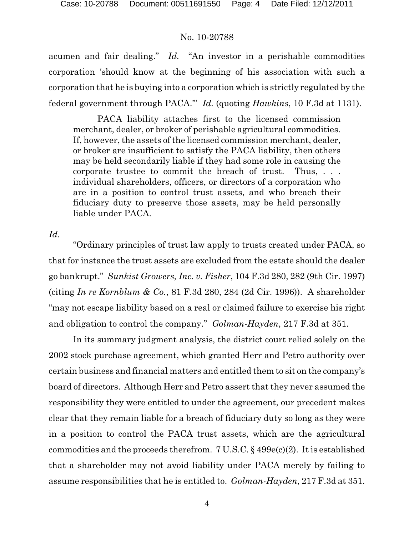acumen and fair dealing." *Id.* "An investor in a perishable commodities corporation 'should know at the beginning of his association with such a corporation that he is buying into a corporation which is strictly regulated by the federal government through PACA.'" *Id.* (quoting *Hawkins*, 10 F.3d at 1131).

PACA liability attaches first to the licensed commission merchant, dealer, or broker of perishable agricultural commodities. If, however, the assets of the licensed commission merchant, dealer, or broker are insufficient to satisfy the PACA liability, then others may be held secondarily liable if they had some role in causing the corporate trustee to commit the breach of trust. Thus, . . . individual shareholders, officers, or directors of a corporation who are in a position to control trust assets, and who breach their fiduciary duty to preserve those assets, may be held personally liable under PACA.

*Id.*

"Ordinary principles of trust law apply to trusts created under PACA, so that for instance the trust assets are excluded from the estate should the dealer go bankrupt." *Sunkist Growers, Inc. v. Fisher*, 104 F.3d 280, 282 (9th Cir. 1997) (citing *In re Kornblum & Co.*, 81 F.3d 280, 284 (2d Cir. 1996)). A shareholder "may not escape liability based on a real or claimed failure to exercise his right and obligation to control the company." *Golman-Hayden*, 217 F.3d at 351.

In its summary judgment analysis, the district court relied solely on the 2002 stock purchase agreement, which granted Herr and Petro authority over certain business and financial matters and entitled them to sit on the company's board of directors. Although Herr and Petro assert that they never assumed the responsibility they were entitled to under the agreement, our precedent makes clear that they remain liable for a breach of fiduciary duty so long as they were in a position to control the PACA trust assets, which are the agricultural commodities and the proceeds therefrom. 7 U.S.C. § 499e(c)(2). It is established that a shareholder may not avoid liability under PACA merely by failing to assume responsibilities that he is entitled to. *Golman-Hayden*, 217 F.3d at 351.